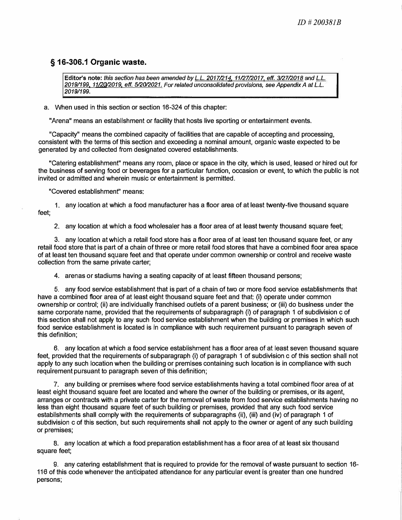## **§ 16-306.1 Organic waste.**

**Editor's note:** *this section has been amended by L.L. 2017/214, 11/27/2017, eff. 3127/2018 and L.L. 2019/199, 11/20/2019, eff. 5/20/2021. For related unconsolidated provisions, see Appendix A at L.L. 20191199.* 

a. When used in this section or section 16-324 of this chapter:

"Arena" means an establishment or facility that hosts live sporting or entertainment events.

"Capacity" means the combined capacity of facilities that are capable of accepting and processing, consistent with the terms of this section and exceeding a nominal amount, organic waste expected to be generated by and collected from designated covered establishments.

"Catering establishment" means any room, place or space in the city, which is used, leased or hired out for the business of serving food or beverages for a particular function, occasion or event, to which the public is not invited or admitted and wherein music or entertainment is permitted.

"Covered establishment" means:

1. any location at which a food manufacturer has a floor area of at least twenty-five thousand square feet;

2. any location at which a food wholesaler has a floor area of at least twenty thousand square feet;

3. any location at which a retail food store has a floor area of at least ten thousand square feet, or any retail food store that is part of a chain of three or more retail food stores that have a combined floor area space of at least ten thousand square feet and that operate under common ownership or control and receive waste collection from the same private carter;

4. arenas or stadiums having a seating capacity of at least fifteen thousand persons;

5. any food service establishment that is part of a chain of two or more food service establishments that have a combined floor area of at least eight thousand square feet and that: (i) operate under common ownership or control; (ii) are individually franchised outlets of a parent business; or (iii) do business under the same corporate name, provided that the requirements of subparagraph (i) of paragraph 1 of subdivision c of this section shall not apply to any such food service establishment when the building or premises in which such food service establishment is located is in compliance with such requirement pursuant to paragraph seven of this definition;

6. any location at which a food service establishment has a floor area of at least seven thousand square feet, provided that the requirements of subparagraph (i) of paragraph 1 of subdivision c of this section shall not apply to any such location when the building or premises containing such location is in compliance with such requirement pursuant to paragraph seven of this definition;

7. any building or premises where food service establishments having a total combined floor area of at least eight thousand square feet are located and where the owner of the building or premises, or its agent, arranges or contracts with a private carter for the removal of waste from food service establishments having no less than eight thousand square feet of such building or premises, provided that any such food service establishments shall comply with the requirements of subparagraphs (ii), (iii) and (iv) of paragraph 1 of subdivision c of this section, but such requirements shall not apply to the owner or agent of any such building or premises;

8. any location at which a food preparation establishment has a floor area of at least six thousand square feet;

9. any catering establishment that is required to provide for the removal of waste pursuant to section 16- 116 of this code whenever the anticipated attendance for any particular event is greater than one hundred persons;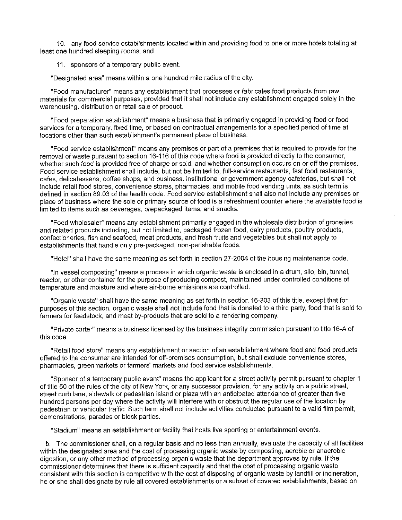10. any food service establishments located within and providing food to one or more hotels totaling at least one hundred sleeping rooms; and

11. sponsors of a temporary public event.

"Designated area" means within a one hundred mile radius of the city.

"Food manufacturer" means any establishment that processes or fabricates food products from raw materials for commercial purposes, provided that it shall not include any establishment engaged solely in the warehousing, distribution or retail sale of product.

"Food preparation establishment" means a business that is primarily engaged in providing food or food services for a temporary, fixed time, or based on contractual arrangements for a specified period of time at locations other than such establishment's permanent place of business.

"Food service establishment" means any premises or part of a premises that is required to provide for the removal of waste pursuant to section 16-116 of this code where food is provided directly to the consumer, whether such food is provided free of charge or sold, and whether consumption occurs on or off the premises. Food service establishment shall include, but not be limited to, full-service restaurants, fast food restaurants, cafes, delicatessens, coffee shops, and business, institutional or government agency cafeterias, but shall not include retail food stores, convenience stores, pharmacies, and mobile food vending units, as such term is defined in section 89.03 of the health code. Food service establishment shall also not include any premises or place of business where the sole or primary source of food is a refreshment counter where the available food is limited to items such as beverages, prepackaged items, and snacks.

"Food wholesaler" means any establishment primarily engaged in the wholesale distribution of groceries and related products including, but not limited to, packaged frozen food, dairy products, poultry products, confectioneries, fish and seafood, meat products, and fresh fruits and vegetables but shall not apply to establishments that handle only pre-packaged, non-perishable foods.

"Hotel" shall have the same meaning as set forth in section 27-2004 of the housing maintenance code.

"In vessel composting" means a process in which organic waste is enclosed in a drum, silo, bin, tunnel, reactor, or other container for the purpose of producing compost, maintained under controlled conditions of temperature and moisture and where air-borne emissions are controlled.

"Organic waste" shall have the same meaning as set forth in section 16-303 of this title, except that for purposes of this section, organic waste shall not include food that is donated to a third party, food that is sold to farmers for feedstock, and meat by-products that are sold to a rendering company.

"Private carter" means a business licensed by the business integrity commission pursuant to title 16-A of this code.

"Retail food store" means any establishment or section of an establishment where food and food products offered to the consumer are intended for off-premises consumption, but shall exclude convenience stores, pharmacies, greenmarkets or farmers' markets and food service establishments.

"Sponsor of a temporary public event" means the applicant for a street activity permit pursuant to chapter 1 of title 50 of the rules of the city of New York, or any successor provision, for any activity on a public street, street curb lane, sidewalk or pedestrian island or plaza with an anticipated attendance of greater than five hundred persons per day where the activity will interfere with or obstruct the regular use of the location by pedestrian or vehicular traffic. Such term shall not include activities conducted pursuant to a valid film permit, demonstrations, parades or block parties.

"Stadium" means an establishment or facility that hosts live sporting or entertainment events.

b. The commissioner shall, on a regular basis and no less than annually, evaluate the capacity of all facilities within the designated area and the cost of processing organic waste by composting, aerobic or anaerobic digestion, or any other method of processing organic waste that the department approves by rule. If the commissioner determines that there is sufficient capacity and that the cost of processing organic waste consistent with this section is competitive with the cost of disposing of organic waste by landfill or incineration, he or she shall designate by rule all covered establishments or a subset of covered establishments, based on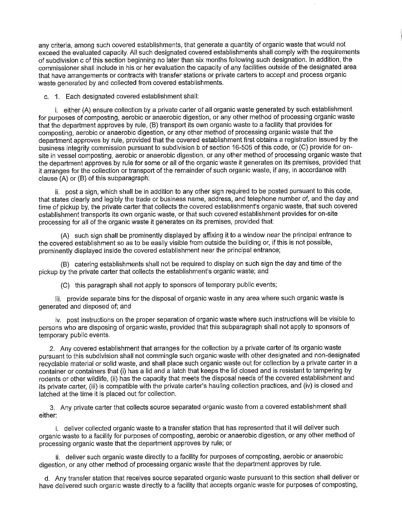any criteria, among such covered establishments, that generate a quantity of organic waste that would not exceed the evaluated capacity. All such designated covered establishments shall comply with the requirements of subdivision c of this section beginning no later than six months following such designation. In addition, the commissioner shall include in his or her evaluation the capacity of any facilities outside of the designated area that have arrangements or contracts with transfer stations or private carters to accept and process organic waste generated by and collected from covered establishments.

c. 1. Each designated covered establishment shall:

i. either (A) ensure collection by a private carter of all organic waste generated by such establishment for purposes of composting, aerobic or anaerobic digestion, or any other method of processing organic waste that the department approves by rule. (B) transport its own organic waste to a facility that provides for composting, aerobic or anaerobic digestion, or any other method of processing organic waste that the department approves by rule, provided that the covered establishment first obtains a registration issued by the business integrity commission pursuant to subdivision b of section 16-505 of this code, or (C) provide for onsite in vessel composting, aerobic or anaerobic digestion, or any other method of processing organic waste that the department approves by rule for some or all of the organic waste it generates on its premises, provided that it arranges for the collection or transport of the remainder of such organic waste, if any, in accordance with clause (A) or (B) of this subparagraph;

ii. post a sign, which shall be in addition to any other sign required to be posted pursuant to this code, that states clearly and legibly the trade or business name, address, and telephone number of, and the day and time of pickup by, the private carter that collects the covered establishment's organic waste, that such covered establishment transports its own organic waste, or that such covered establishment provides for on-site processing for all of the organic waste it generates on its premises, provided that:

(A) such sign shall be prominently displayed by affixing it to a window near the principal entrance to the covered establishment so as to be easily visible from outside the building or, if this is not possible, prominently displayed inside the covered establishment near the principal entrance;

(B) catering establishments shall not be required to display on such sign the day and time of the pickup by the private carter that collects the establishment's organic waste; and

(C) this paragraph shall not apply to sponsors of temporary public events;

iii. provide separate bins for the disposal of organic waste in any area where such organic waste is generated and disposed of; and

iv. post instructions on the proper separation of organic waste where such instructions will be visible to persons who are disposing of organic waste, provided that this subparagraph shall not apply to sponsors of temporary public events.

2. Any covered establishment that arranges for the collection by a private carter of its organic waste pursuant to this subdivision shall not commingle such organic waste with other designated and non-designated recyclable material or solid waste, and shall place such organic waste out for collection by a private carter in a container or containers that (i) has a lid and a latch that keeps the lid closed and is resistant to tampering by rodents or other wildlife, (ii) has the capacity that meets the disposal needs of the covered establishment and its private carter, (iii) is compatible with the private carter's hauling collection practices, and (iv) is closed and latched at the time it is placed out for collection.

3. Any private carter that collects source separated organic waste from a covered establishment shall either:

i. deliver collected organic waste to a transfer station that has represented that it will deliver such organic waste to a facility for purposes of composting, aerobic or anaerobic digestion, or any other method of processing organic waste that the department approves by rule; or

ii. deliver such organic waste directly to a facility for purposes of composting, aerobic or anaerobic digestion, or any other method of processing organic waste that the department approves by rule.

d. Any transfer station that receives source separated organic waste pursuant to this section shall deliver or have delivered such organic waste directly to a facility that accepts organic waste for purposes of composting,